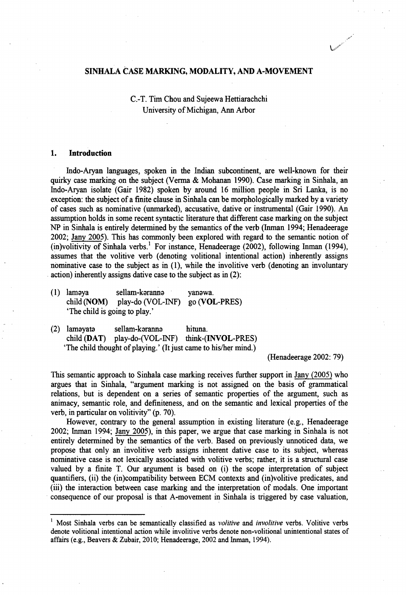### SINHALA CASE MARKING, MODALITY, AND A-MOVEMENT

C.-T. Tim Chou and Sujeewa Hettiarachchi University of Michigan, Ann Arbor

### **1. Introduction**

Indo-Aryan languages, spoken in die Indian subcontinent, are well-known for their quirky case marking on the subject (Verma & Mohanan 1990). Case marking in Sinhala, an Indo-Aryan isolate (Gair 1982) spoken by around 16 million people in Sri Lanka, is no exception: the subject of a finite clause in Sinhala can be morphologically marked by a variety of cases such as nominative (unmarked), accusative, dative or instrumental (Gair 1990). An assumption holds in some recent syntactic literature that different case marking on the subject NP in Sinhala is entirely determined by the semantics of the verb (Inman 1994; Henadeerage 2002; Jany 2005). This has commonly been explored with regard to the semantic notion of (in)volitivity of Sinhala verbs.<sup>1</sup> For instance, Henadeerage (2002), following Inman (1994), assumes that the volitive verb (denoting volitional intentional action) inherently assigns nominative case to the subject as in (1), while the involitive verb (denoting an involuntary action) inherently assigns dative case to the subject as in (2):

- (1) lamsya sellam-karanns yanawa. child (NOM) play-do (VOL-INF) go(VOL-PRES) 'The child is going to play.'
- (2) lamayata sellam-karanna hituna. child (DAT) play-do-(VOL-INF) think-(INYOL-PRES) 'The child thought of playing.' (It just came to his/her mind.)

(Henadeerage 2002: 79)

This semantic approach to Sinhala case marking receives further support in Jany (2005) who argues that in Sinhala, "argument marking is not assigned on the basis of grammatical relations, but is dependent on a series of semantic properties of the argument, such as animacy, semantic role, and definiteness, and on the semantic and lexical properties of the verb, in particular on volitivity" (p. 70).

However, contrary to the general assumption in existing literature (e.g., Henadeerage 2002; Inman 1994; Jany 2005), in this paper, we argue that case marking in Sinhala is not entirely determined by the semantics of the verb. Based on previously unnoticed data, we propose that only an involitive verb assigns inherent dative case to its subject, whereas nominative case is not lexically associated with volitive verbs; rather, it is a structural case valued by a finite T. Our argument is based on (i) the scope interpretation of subject quantifiers, (ii) the (in)compatibility between ECM contexts and (in)volitive predicates, and (iii) the interaction between case marking and the interpretation of modals. One important consequence of our proposal is that A-movement in Sinhala is triggered by case valuation,

<sup>&</sup>lt;sup>1</sup> Most Sinhala verbs can be semantically classified as *volitive* and *involitive* verbs. Volitive verbs denote volitional intentional action while involitive verbs denote non-volitional unintentional states of affairs (e.g., Beavers & Zubair, 2010; Henadeerage, 2002 and Inman, 1994).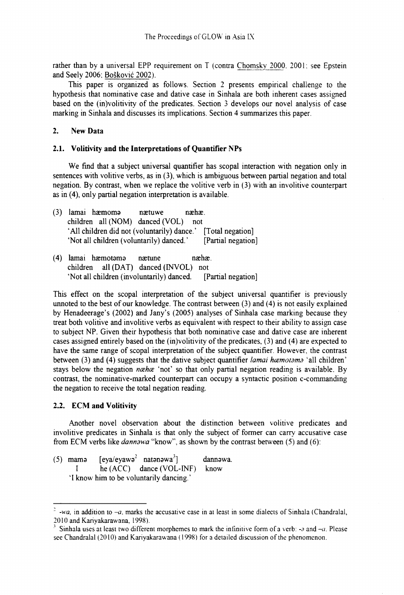rather than by a universal EPP requirement on T (contra Chomsky 2000. 2001: see Epstein and Seely 2006; Boskovic 2002).

This paper is organized as follows. Section 2 presents empirical challenge to the hypothesis that nominative case and dative case in Sinhala are both inherent cases assigned based on the (in)volitivity of the predicates. Section 3 develops our novel analysis of case marking in Sinhala and discusses its implications. Section 4 summarizes this paper.

# **2. New Data**

### **2.1. Volitivity and the Interpretations of Quantifier NPs**

We find that a subject universal quantifier has scopal interaction with negation only in sentences with volitive verbs, as in (3), which is ambiguous between partial negation and total negation. By contrast, when we replace the volitive verb in (3) with an involitive counterpart as in (4), only partial negation interpretation is available.

| (3) lamai hæmoma                            | nætuwe | $næhæ$ . |                    |
|---------------------------------------------|--------|----------|--------------------|
| children all (NOM) danced (VOL) not         |        |          |                    |
| 'All children did not (voluntarily) dance.' |        |          | [Total negation]   |
| 'Not all children (voluntarily) danced.'    |        |          | [Partial negation] |
|                                             |        |          |                    |

(4) lamai haemotomo naetune naehae. children all (DAT) danced (INVOL) not 'Not all children (involuntarily) danced. [Partial negation]

This effect on the scopal interpretation of the subject universal quantifier is previously unnoted to the best of our knowledge. The contrast between (3) and (4) is not easily explained by Henadeerage's (2002) and Jany's (2005) analyses of Sinhala case marking because they treat both volitive and involitive verbs as equivalent with respect to their ability to assign case to subject NP. Given their hypothesis that both nominative case and dative case are inherent cases assigned entirely based on the (in)volitivity of the predicates, (3) and (4) are expected to have the same range of scopal interpretation of the subject quantifier. However, the contrast between (3) and (4) suggests that the dative subject quantifier *lamai haemotama* 'all children' stays below the negation *ncehce* 'not' so that only partial negation reading is available. By contrast, the nominative-marked counterpart can occupy a syntactic position c-commanding the negation to receive the total negation reading.

# **2.2. ECM and Volitivity**

Another novel observation about the distinction between volitive predicates and involitive predicates in Sinhala is that only the subject of former can carry accusative case from ECM verbs like *dannowa* "know", as shown by the contrast between (5) and (6):

(5) mama  $[eya/eyawa<sup>2</sup> natanawa<sup>3</sup>]$  dannawa. I he (ACC) dance (VOL-INF) know 'I know him to be voluntarily dancing.'

<sup>-</sup>wa, in addition to  $-a$ , marks the accusative case in at least in some dialects of Sinhala (Chandralal, 2010 and Kariyakarawana, 1998).

Sinhala uses at least two different morphemes to mark the infinitive form of a verb: *-3* and *-a.* Please see Chandralal (2010) and Kariyakaraw ana (1998) for a detailed discussion of the phenomenon.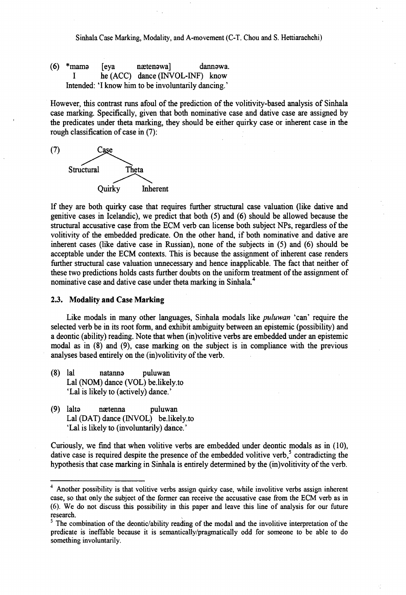Sinhala Case Marking, Modality, and A-movement (C-T. Chou and S. Hettiarachchi)

(6) \*mama [eya naetenawa] dannawa. I he (ACC) dance (INVOL-INF) know Intended: 'I know him to be involuntarily dancing.'

However, this contrast runs afoul of the prediction of the volitivity-based analysis of Sinhala case marking. Specifically, given that both nominative case and dative case are assigned by the predicates under theta marking, they should be either quirky case or inherent case in the rough classification of case in (7):



If they are both quirky case that requires further structural case valuation (like dative and genitive cases in Icelandic), we predict that both (5) and (6) should be allowed because the structural accusative case from the ECM verb can license both subject NPs, regardless of the volitivity of the embedded predicate. On the other hand, if both nominative and dative are inherent cases (like dative case in Russian), none of the subjects in (5) and (6) should be acceptable under the ECM contexts. This is because the assignment of inherent case renders further structural case valuation unnecessary and hence inapplicable. The fact that neither of these two predictions holds casts further doubts on the uniform treatment of the assignment of nominative case and dative case under theta marking in Sinhala.<sup>4</sup>

## **2.3. Modality and Case Marking**

Like modals in many other languages, Sinhala modals like *puluwan* 'can' require the selected verb be in its root form, and exhibit ambiguity between an epistemic (possibility) and a deontic (ability) reading. Note that when (in)volitive verbs are embedded under an epistemic modal as in (8) and (9), case marking on the subject is in compliance with the previous analyses based entirely on the (in)volitivity of the verb.

- (8) lal natanns puluwan Lai (NOM) dance (VOL) be.likely.to 'Lal is likely to (actively) dance.'
- (9) lalts naetenna puluwan Lal (DAT) dance (INVOL) be.likely.to 'Lal is likely to (involuntarily) dance.'

Curiously, we find that when volitive verbs are embedded under deontic modals as in (10), dative case is required despite the presence of the embedded volitive verb, $\delta$  contradicting the hypothesis that case marking in Sinhala is entirely determined by the (in)volitivity of the verb.

<sup>4</sup> Another possibility is that volitive verbs assign quirky case, while involitive verbs assign inherent case, so that only the subject of the former can receive the accusative case from the ECM verb as in (6). We do not discuss this possibility in this paper and leave this line of analysis for our future research.

 $5$  The combination of the deontic/ability reading of the modal and the involitive interpretation of the predicate is ineffable because it is semantically/pragmatically odd for someone to be able to do something involuntarily.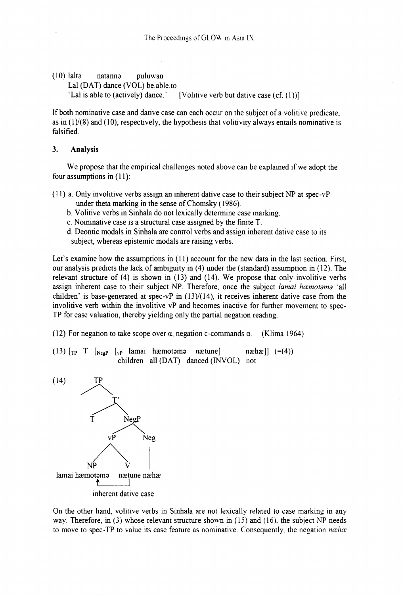(10) lalta natanna puluwan Lai (DAT) dance (VOL) be.able.to 'Lal is able to (actively) dance.' [Volitive verb but dative case  $(cf. (1))$ ]

If both nominative case and dative case can each occur on the subject of a volitive predicate, as in  $(1)/(8)$  and  $(10)$ , respectively, the hypothesis that volitivity always entails nominative is falsified.

## **3. Analysis**

We propose that the empirical challenges noted above can be explained if we adopt the four assumptions in (11):

- (11) a. Only involitive verbs assign an inherent dative case to their subject NP at spec-vP under theta marking in the sense of Chomsky (1986).
	- b. Volitive verbs in Sinhala do not lexically determine case marking.
	- c. Nominative case is a structural case assigned by the finite T.
	- d. Deontic modals in Sinhala are control verbs and assign inherent dative case to its subject, whereas epistemic modals are raising verbs.

Let's examine how the assumptions in (11) account for the new data in the last section. First, our analysis predicts the lack of ambiguity in (4) under the (standard) assumption in (12). The relevant structure of (4) is shown in (13) and (14). We propose that only involitive verbs assign inherent case to their subject NP. Therefore, once the subject *lamai hæmotama* 'all children' is base-generated at spec-vP in  $(13)/(14)$ , it receives inherent dative case from the involitive verb within the involitive vP and becomes inactive for further movement to spec-TP for case valuation, thereby yielding only the partial negation reading.

(12) For negation to take scope over  $\alpha$ , negation c-commands  $\alpha$ . (Klima 1964)

(13)  $\begin{bmatrix} T_P & T \end{bmatrix}$   $\begin{bmatrix} N_{ee}P & I_{x}P \end{bmatrix}$  lamai hæmotama nætune] næhæ]]  $(=(4))$ children all (DAT) danced (INVOL) not



On the other hand, volitive verbs in Sinhala are not lexically related to case marking in any way. Therefore, in (3) whose relevant structure shown in (15) and (16), the subject NP needs to move to spec-TP to value its case feature as nominative. Consequently, the negation *ncehce*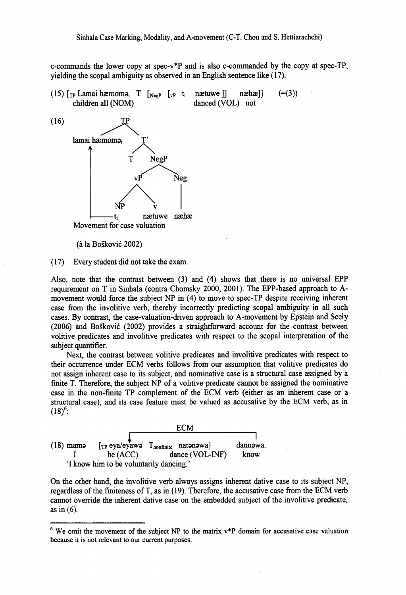c-commands the lower copy at spec-v\*P and is also c-commanded by the copy at spec-TP, yielding the scopal ambiguity as observed in an English sentence like (17).

(15)  $\lceil \text{TP} \text{ Lamai hæmomə_i} \rceil \lceil \text{Negr} \rceil \lceil \text{vP} \rceil \rceil$  nactuwe]] nachae]] (=(3)) children all (NOM) danced (VOL) not



(a la Boskovic 2002)

(17) Every student did not take the exam.

Also, note that the contrast between (3) and (4) shows that there is no universal EPP requirement on T in Sinhala (contra Chomsky 2000, 2001). The EPP-based approach to Amovement would force the subject NP in (4) to move to spec-TP despite receiving inherent case from the involitive verb, thereby incorrectly predicting scopal ambiguity in all such cases. By contrast, the case-valuation-driven approach to A-movement by Epstein and Seely (2006) and Boskovic (2002) provides a straightforward account for the contrast between volitive predicates and involitive predicates with respect to the scopal interpretation of the subject quantifier.

Next, the contrast between volitive predicates and involitive predicates with respect to their occurrence under ECM verbs follows from our assumption that volitive predicates do not assign inherent case to its subject, and nominative case is a structural case assigned by a finite T. Therefore, the subject NP of a volitive predicate cannot be assigned the nominative case in the non-finite TP complement of the ECM verb (either as an inherent case or a structural case), and its case feature must be valued as accusative by the ECM verb, as in  $(18)^6$ :

| $(18)$ mama |                                         | $[\text{TP} \text{ eya}/\text{ey} \text{awə } \text{T}_{\text{nonfinite}} \text{natənəwa}]$ | dannəwa. |  |
|-------------|-----------------------------------------|---------------------------------------------------------------------------------------------|----------|--|
|             | he(ACC)                                 | dance (VOL-INF)                                                                             | know     |  |
|             | 'I know him to be voluntarily dancing.' |                                                                                             |          |  |

On the other hand, the involitive verb always assigns inherent dative case to its subject NP, regardless of the finiteness of T, as in (19). Therefore, the accusative case from the ECM verb cannot override the inherent dative case on the embedded subject of the involitive predicate, as in  $(6)$ .

 $6$  We omit the movement of the subject NP to the matrix  $v*P$  domain for accusative case valuation because it is not relevant to our current purposes.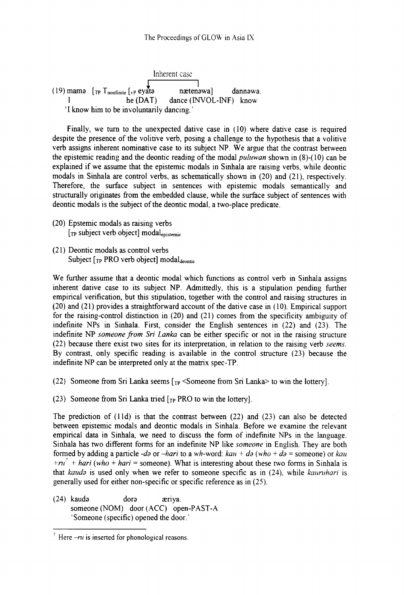Inherent case næten<sub>a</sub>wa] (19) mama  $[\text{TP} \space \text{T}_{\text{nonfinite}} \space [\text{VP} \space \text{e} \text{y} \text{a} \text{t} \text{a}]$  naeten<sup>9</sup>wa] dannawa. I he (DAT) dance (INVOL-INF) know 'I know him to be involuntarily dancing.'

Finally, we turn to the unexpected dative case in (10) where dative case is required despite the presence of the volitive verb, posing a challenge to the hypothesis that a volitive verb assigns inherent nominative case to its subject NP. We argue that the contrast between the epistemic reading and the deontic reading of the modal *puluwan* shown in (8)-( 10) can be explained if we assume that the epistemic modals in Sinhala are raising verbs, while deontic modals in Sinhala are control verbs, as schematically shown in (20) and (21), respectively. Therefore, the surface subject in sentences with epistemic modals semantically and structurally originates from the embedded clause, while the surface subject of sentences with deontic modals is the subject of the deontic modal, a two-place predicate.

- (20) Epstemic modals as raising verbs  $[TP]$  subject verb object] modal<sub>epistemic</sub>
- (21) Deontic modals as control verbs Subject  $[r_{\rm P}$  PRO verb object] modaldeontic

We further assume that a deontic modal which functions as control verb in Sinhala assigns inherent dative case to its subject NP. Admittedly, this is a stipulation pending further empirical verification, but this stipulation, together with the control and raising structures in (20) and (21) provides a straightforward account of the dative case in (10). Empirical support for the raising-control distinction in (20) and (21) comes from the specificity ambiguity of indefinite NPs in Sinhala. First, consider the English sentences in (22) and (23). The indefinite NP *someone from Sri Lanka* can be either specific or not in the raising structure (22) because there exist two sites for its interpretation, in relation to the raising verb *seems.* By contrast, only specific reading is available in the control structure (23) because the indefinite NP can be interpreted only at the matrix spec-TP.

- (22) Someone from Sri Lanka seems  $\lceil \frac{1}{R} \rceil$  < Someone from Sri Lanka to win the lottery].
- (23) Someone from Sri Lanka tried  $[r_P$  PRO to win the lottery].

The prediction of  $(11d)$  is that the contrast between  $(22)$  and  $(23)$  can also be detected between epistemic modals and deontic modals in Sinhala. Before we examine the relevant empirical data in Sinhala, we need to discuss the form of indefinite NPs in the language. Sinhala has two different forms for an indefinite NP like *someone* in English. They are both formed by adding a particle *-do* or *-hari* to a wh-word:  $kau + do$  (who +  $do$  = someone) or  $kau$ *+nt'* + *hari (who* + *hari =* someone). What is interesting about these two forms in Sinhala is that *kando* is used only when we refer to someone specific as in (24), while *kaumhari* is generally used for either non-specific or specific reference as in (25).

(24) kauda dora asriya. someone (NOM) door (ACC) open-PAST-A 'Someone (specific) opened the door.'

 $\frac{7}{7}$  Here  $\frac{-r}{u}$  is inserted for phonological reasons.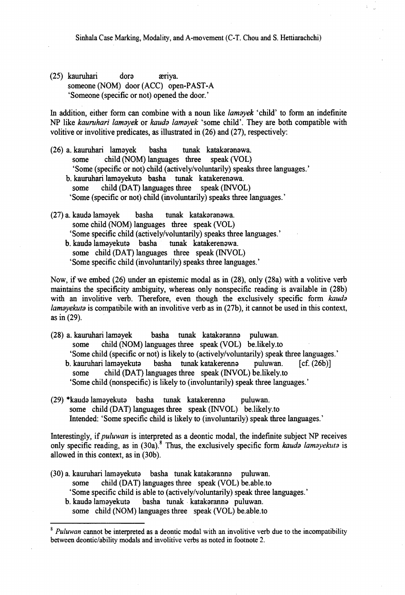Sinhala Case Marking, Modality, and A-movement (C-T. Chou and S. Hettiarachchi)

(25) kauruhari dora aeriya. someone (NOM) door (ACC) open-PAST-A 'Someone (specific or not) opened the door.'

In addition, either form can combine with a noun like *lamayek* 'child' to form an indefinite NP like *kauruhari lamayek* or *kauda lamayek* 'some child'. They are both compatible with volitive or involitive predicates, as illustrated in (26) and (27), respectively:

- (26) a. kauruhari lamayek basha tunak katakaranawa. child (NOM) languages three speak (VOL) 'Some (specific or not) child (actively/voluntarily) speaks three languages.'
	- b. kauruhari lamayekuta basha tunak katakerenawa. some child (DAT) languages three speak (INVOL) 'Some (specific or not) child (involuntarily) speaks three languages.'
- (27) a. kauda lamayek basha tunak katakaranawa. some child (NOM) languages three speak (VOL) 'Some specific child (actively/voluntarily) speaks three languages.'
	- b. kauda lamayekuta basha tunak katakerenawa. some child (DAT) languages three speak (INVOL) 'Some specific child (involuntarily) speaks three languages.'

Now, if we embed (26) under an epistemic modal as in (28), only (28a) with a volitive verb maintains the specificity ambiguity, whereas only nonspecific reading is available in (28b) with an involitive verb. Therefore, even though the exclusively specific form *kauda lamayekuta* is compatibile with an involitive verb as in (27b), it cannot be used in this context, as in (29).

- (28) a. kauruhari lamayek basha tunak katakaranna puluwan. some child (NOM) languages three speak (VOL) be.likely.to 'Some child (specific or not) is likely to (actively/voluntarily) speak three languages.' b. kauruhari lamayekuta basha tunak katakerenna puluwan. [cf. (26b)]
	- some child (DAT) languages three speak (INVOL) be.likely.to 'Some child (nonspecific) is likely to (involuntarily) speak three languages.'
- (29) \*kauda lamayekuta basha tunak katakerenna puluwan. some child (DAT) languages three speak (INVOL) be.likely.to Intended: 'Some specific child is likely to (involuntarily) speak three languages.'

Interestingly, if *puluwan* is interpreted as a deontic modal, the indefinite subject NP receives only specific reading, as in  $(30a)$ .<sup>8</sup> Thus, the exclusively specific form *kauda lamayekuta* is allowed in this context, as in (30b).

(30) a. kauruhari lamayekuta basha tunak katakaranna puluwan. some child (DAT) languages three speak (VOL) be.able.to 'Some specific child is able to (actively/voluntarily) speak three languages.' b. kauda lamayekuta basha tunak katakaranna puluwan. some child (NOM) languages three speak (VOL) be.able.to

<sup>&</sup>lt;sup>8</sup> *Puluwan* cannot be interpreted as a deontic modal with an involitive verb due to the incompatibility between deontic/ability modals and involitive verbs as noted in footnote 2.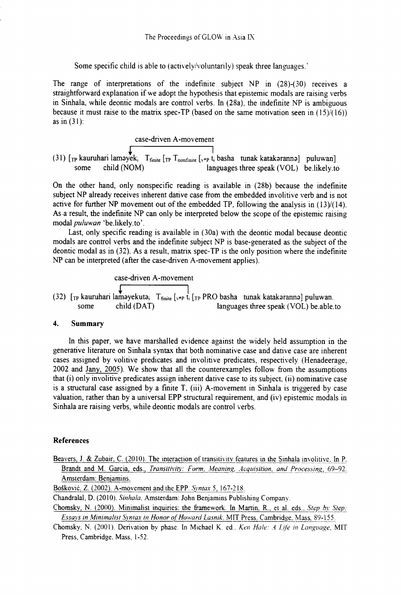Some specific child is able to (activelv/voluntanly) speak three languages.'

The range of interpretations of the indefinite subject NP in (28)-(30) receives a straightforward explanation if we adopt the hypothesis that epistemic modals are raising verbs in Sinhala, while deontic modals are control verbs. In (28a), the indefinite NP is ambiguous because it must raise to the matrix spec-TP (based on the same motivation seen in  $(15)/(16)$ ) as in (31):

\n
$$
\text{case-driven A-movement}
$$
\n

\n\n (31)  $\left[ \text{TP} \text{ kauruhari lamayek}_i \right]$ \n

\n\n Some child (NOM) *languages three speak (VOL)* be likely to\n

On the other hand, only nonspecific reading is available in (28b) because the indefinite subject NP already receives inherent dative case from the embedded involitive verb and is not active for further NP movement out of the embedded TP, following the analysis in (13)/(14). As a result, the indefinite NP can only be interpreted below the scope of the epistemic raising modal *puluwan* 'be.likely.to'.

Last, only specific reading is available in (30a) with the deontic modal because deontic modals are control verbs and the indefinite subject NP is base-generated as the subject of the deontic modal as in (32). As a result, matrix spec-TP is the only position where the indefinite NP can be interpreted (after the case-driven A-movement applies).

\n
$$
\text{case-driven A-movement}
$$
\n

\n\n (32)  $\left[ \text{TP} \text{ kauruhari lampekuta} \right]$ \n

\n\n The same child (DATA) and the following expression is given by:\n  $\text{Time} \left[ \text{exp} \text{tr} \right]$ \n

\n\n The first line is given by:\n  $\text{Time} \left[ \text{exp} \text{tr} \right]$ \n

\n\n The second line is given by:\n  $\text{Time} \left[ \text{exp} \text{tr} \right]$ \n

\n\n The second line is given by:\n  $\text{Time} \left[ \text{tr} \right]$ \n

\n\n The second line is given by:\n  $\text{Time} \left[ \text{tr} \right]$ \n

\n\n The second line is given by:\n  $\text{Time} \left[ \text{tr} \right]$ \n

\n\n The second line is given by:\n  $\text{Time} \left[ \text{tr} \right]$ \n

\n\n The second line is given by:\n  $\text{Time} \left[ \text{tr} \right]$ \n

\n\n The second line is given by:\n  $\text{Time} \left[ \text{tr} \right]$ \n

\n\n The second line is given by:\n  $\text{Time} \left[ \text{tr} \right]$ \n

\n\n The second line is given by:\n  $\text{Time} \left[ \text{tr} \right]$ \n

\n\n The second line is given by:\n  $\text{Time} \left[ \text{tr} \right]$ \n

\n\n The second line is given by:\n  $\text{Time} \left[ \text{tr} \right]$ \n

\n\n The second line is given by:\n  $\text{Time} \left[ \text{tr} \right]$ \n

\n\n The second line is given by:\n  $\text{Time} \left[ \text{tr} \right]$ \n

\n\n The second line is given by:\n  $\text{Time} \left[ \text{tr} \right]$ \n

\n\n The second line is given by:\n  $\text{Time} \left[ \text{tr} \right]$ \n

\n\n The second line is given by:\n  $\text{Time} \left[ \text{tr} \right]$ \n

## 4. Summary

In this paper, we have marshalled evidence against the widely held assumption in the generative literature on Sinhala syntax that both nominative case and dative case are inherent cases assigned by volitive predicates and involitive predicates, respectively (Henadeerage, 2002 and Jany, 2005). We show that all the counterexamples follow from the assumptions that (i) only involitive predicates assign inherent dative case to its subject, (ii) nominative case is a structural case assigned by a finite T, (iii) A-movement in Sinhala is triggered by case valuation, rather than by a universal EPP structural requirement, and (iv) epistemic modals in Sinhala are raising verbs, while deontic modals are control verbs.

## References

Beavers, J. *&* Zubair. C. (2010). The interaction of transitivity features in the Sinhala involitive. In P. Brandt and M. Garcia, eds., *Transitivity: Form, Meaning, Acquisition, and Processing*, 69-92. Amsterdam: Benjamins.

Boskovic. Z. (2002), A-movement and the EPP. *Syntax* 5, 167-218.

Chandralal, D. (2010). *Sinhala.* Amsterdam: John Benjamins Publishing Company.

Chomsky, N. (2000), Minimalist inquiries: the framework. In Martin, R,, et al. eds.. *Step hv Step:* Essays in Minimalist Syntax in Honor of Howard Lasnik. MIT Press, Cambridge, Mass, 89-155.

Chomsky, N. (2001). Derivation by phase. In Michael K. ed.. *Ken Hale: A Life in Language*, MIT Press, Cambridge. Mass, 1-52.